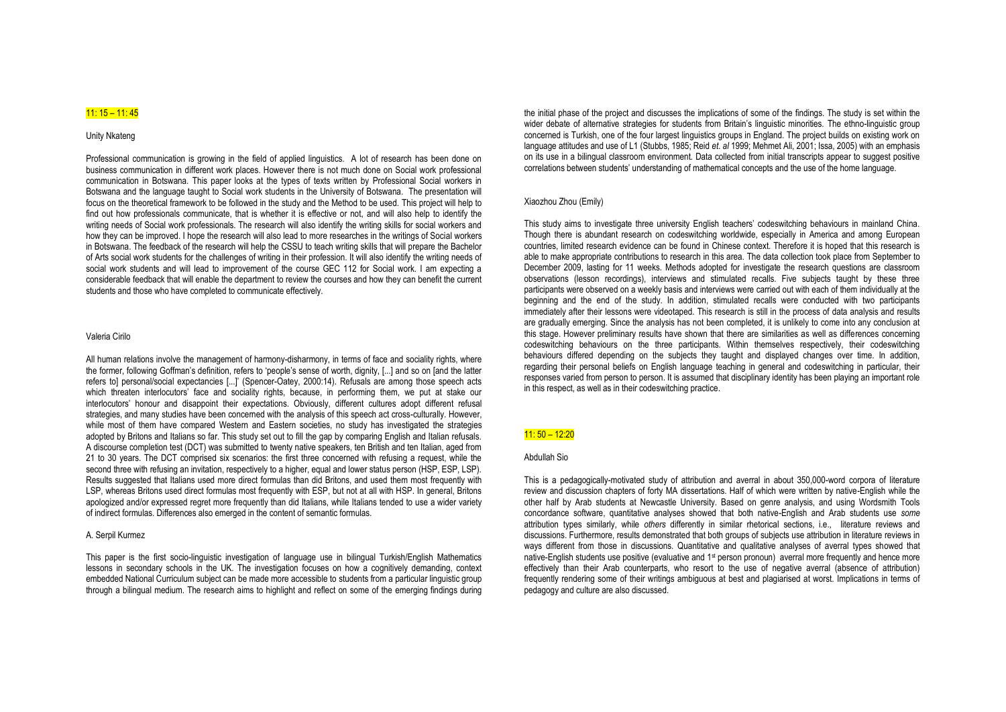# 11: 15 – 11: 45

# Unity Nkateng

Professional communication is growing in the field of applied linguistics. A lot of research has been done on business communication in different work places. However there is not much done on Social work professional communication in Botswana. This paper looks at the types of texts written by Professional Social workers in Botswana and the language taught to Social work students in the University of Botswana. The presentation will focus on the theoretical framework to be followed in the study and the Method to be used. This project will help to find out how professionals communicate, that is whether it is effective or not, and will also help to identify the writing needs of Social work professionals. The research will also identify the writing skills for social workers and how they can be improved. I hope the research will also lead to more researches in the writings of Social workers in Botswana. The feedback of the research will help the CSSU to teach writing skills that will prepare the Bachelor of Arts social work students for the challenges of writing in their profession. It will also identify the writing needs of social work students and will lead to improvement of the course GEC 112 for Social work. I am expecting a considerable feedback that will enable the department to review the courses and how they can benefit the current students and those who have completed to communicate effectively.

# Valeria Cirilo

All human relations involve the management of harmony-disharmony, in terms of face and sociality rights, where the former, following Goffman's definition, refers to 'people's sense of worth, dignity, [...] and so on [and the latter refers to] personal/social expectancies [...]' (Spencer-Oatey, 2000:14). Refusals are among those speech acts which threaten interlocutors' face and sociality rights, because, in performing them, we put at stake our interlocutors' honour and disappoint their expectations. Obviously, different cultures adopt different refusal strategies, and many studies have been concerned with the analysis of this speech act cross-culturally. However, while most of them have compared Western and Eastern societies, no study has investigated the strategies adopted by Britons and Italians so far. This study set out to fill the gap by comparing English and Italian refusals. A discourse completion test (DCT) was submitted to twenty native speakers, ten British and ten Italian, aged from 21 to 30 years. The DCT comprised six scenarios: the first three concerned with refusing a request, while the second three with refusing an invitation, respectively to a higher, equal and lower status person (HSP, ESP, LSP). Results suggested that Italians used more direct formulas than did Britons, and used them most frequently with LSP, whereas Britons used direct formulas most frequently with ESP, but not at all with HSP. In general, Britons apologized and/or expressed regret more frequently than did Italians, while Italians tended to use a wider variety of indirect formulas. Differences also emerged in the content of semantic formulas.

# A. Serpil Kurmez

This paper is the first socio-linguistic investigation of language use in bilingual Turkish/English Mathematics lessons in secondary schools in the UK. The investigation focuses on how a cognitively demanding, context embedded National Curriculum subject can be made more accessible to students from a particular linguistic group through a bilingual medium. The research aims to highlight and reflect on some of the emerging findings during

the initial phase of the project and discusses the implications of some of the findings. The study is set within the wider debate of alternative strategies for students from Britain's linguistic minorities. The ethno-linguistic group concerned is Turkish, one of the four largest linguistics groups in England. The project builds on existing work on language attitudes and use of L1 (Stubbs, 1985; Reid *et. al* 1999; Mehmet Ali, 2001; Issa, 2005) with an emphasis on its use in a bilingual classroom environment. Data collected from initial transcripts appear to suggest positive correlations between students' understanding of mathematical concepts and the use of the home language.

## Xiaozhou Zhou (Emily)

This study aims to investigate three university English teachers' codeswitching behaviours in mainland China. Though there is abundant research on codeswitching worldwide, especially in America and among European countries, limited research evidence can be found in Chinese context. Therefore it is hoped that this research is able to make appropriate contributions to research in this area. The data collection took place from September to December 2009, lasting for 11 weeks. Methods adopted for investigate the research questions are classroom observations (lesson recordings), interviews and stimulated recalls. Five subjects taught by these three participants were observed on a weekly basis and interviews were carried out with each of them individually at the beginning and the end of the study. In addition, stimulated recalls were conducted with two participants immediately after their lessons were videotaped. This research is still in the process of data analysis and results are gradually emerging. Since the analysis has not been completed, it is unlikely to come into any conclusion at this stage. However preliminary results have shown that there are similarities as well as differences concerning codeswitching behaviours on the three participants. Within themselves respectively, their codeswitching behaviours differed depending on the subjects they taught and displayed changes over time. In addition, regarding their personal beliefs on English language teaching in general and codeswitching in particular, their responses varied from person to person. It is assumed that disciplinary identity has been playing an important role in this respect, as well as in their codeswitching practice.

## 11: 50 – 12:20

# Abdullah Sio

This is a pedagogically-motivated study of attribution and averral in about 350,000-word corpora of literature review and discussion chapters of forty MA dissertations. Half of which were written by native-English while the other half by Arab students at Newcastle University. Based on genre analysis, and using Wordsmith Tools concordance software, quantitative analyses showed that both native-English and Arab students use *some* attribution types similarly, while *others* differently in similar rhetorical sections, i.e., literature reviews and discussions. Furthermore, results demonstrated that both groups of subjects use attribution in literature reviews in ways different from those in discussions. Quantitative and qualitative analyses of averral types showed that native-English students use positive (evaluative and 1<sup>st</sup> person pronoun) averral more frequently and hence more effectively than their Arab counterparts, who resort to the use of negative averral (absence of attribution) frequently rendering some of their writings ambiguous at best and plagiarised at worst. Implications in terms of pedagogy and culture are also discussed.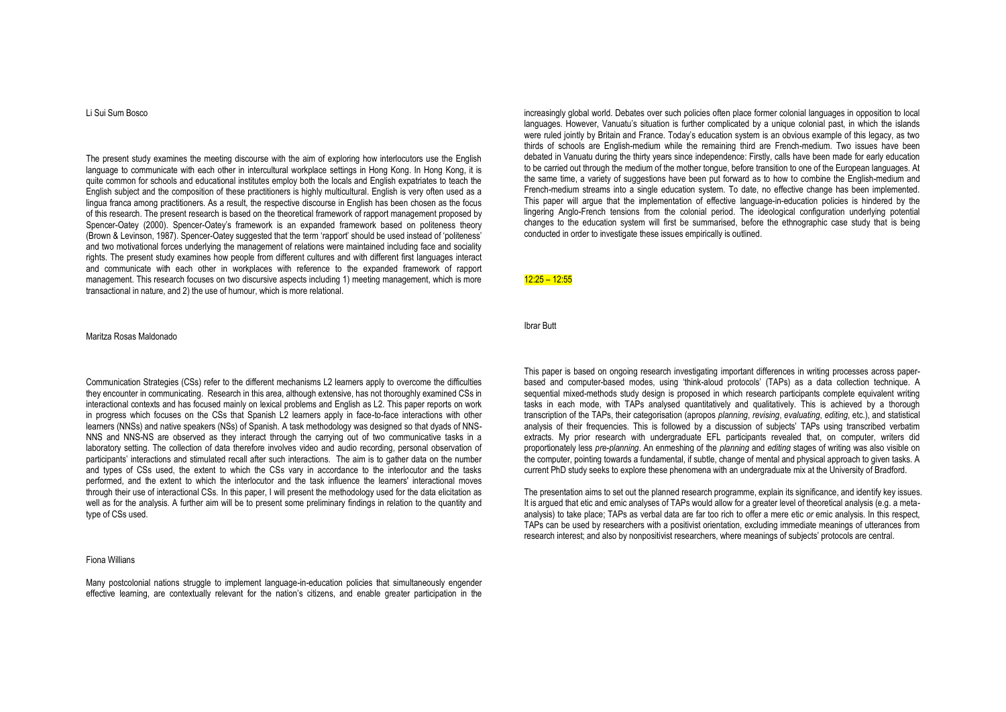Li Sui Sum Bosco

The present study examines the meeting discourse with the aim of exploring how interlocutors use the English language to communicate with each other in intercultural workplace settings in Hong Kong. In Hong Kong, it is quite common for schools and educational institutes employ both the locals and English expatriates to teach the English subject and the composition of these practitioners is highly multicultural. English is very often used as a lingua franca among practitioners. As a result, the respective discourse in English has been chosen as the focus of this research. The present research is based on the theoretical framework of rapport management proposed by Spencer-Oatey (2000). Spencer-Oatey's framework is an expanded framework based on politeness theory (Brown & Levinson, 1987). Spencer-Oatey suggested that the term 'rapport' should be used instead of 'politeness' and two motivational forces underlying the management of relations were maintained including face and sociality rights. The present study examines how people from different cultures and with different first languages interact and communicate with each other in workplaces with reference to the expanded framework of rapport management. This research focuses on two discursive aspects including 1) meeting management, which is more transactional in nature, and 2) the use of humour, which is more relational.

# Maritza Rosas Maldonado

Communication Strategies (CSs) refer to the different mechanisms L2 learners apply to overcome the difficulties they encounter in communicating. Research in this area, although extensive, has not thoroughly examined CSs in interactional contexts and has focused mainly on lexical problems and English as L2. This paper reports on work in progress which focuses on the CSs that Spanish L2 learners apply in face-to-face interactions with other learners (NNSs) and native speakers (NSs) of Spanish. A task methodology was designed so that dyads of NNS-NNS and NNS-NS are observed as they interact through the carrying out of two communicative tasks in a laboratory setting. The collection of data therefore involves video and audio recording, personal observation of participants' interactions and stimulated recall after such interactions. The aim is to gather data on the number and types of CSs used, the extent to which the CSs vary in accordance to the interlocutor and the tasks performed, and the extent to which the interlocutor and the task influence the learners' interactional moves through their use of interactional CSs. In this paper, I will present the methodology used for the data elicitation as well as for the analysis. A further aim will be to present some preliminary findings in relation to the quantity and type of CSs used.

# Fiona Willians

Many postcolonial nations struggle to implement language-in-education policies that simultaneously engender effective learning, are contextually relevant for the nation's citizens, and enable greater participation in the increasingly global world. Debates over such policies often place former colonial languages in opposition to local languages. However, Vanuatu's situation is further complicated by a unique colonial past, in which the islands were ruled jointly by Britain and France. Today's education system is an obvious example of this legacy, as two thirds of schools are English-medium while the remaining third are French-medium. Two issues have been debated in Vanuatu during the thirty years since independence: Firstly, calls have been made for early education to be carried out through the medium of the mother tongue, before transition to one of the European languages. At the same time, a variety of suggestions have been put forward as to how to combine the English-medium and French-medium streams into a single education system. To date, no effective change has been implemented. This paper will argue that the implementation of effective language-in-education policies is hindered by the lingering Anglo-French tensions from the colonial period. The ideological configuration underlying potential changes to the education system will first be summarised, before the ethnographic case study that is being conducted in order to investigate these issues empirically is outlined.

# 12:25 – 12:55

#### Ibrar Butt

This paper is based on ongoing research investigating important differences in writing processes across paperbased and computer-based modes, using 'think-aloud protocols' (TAPs) as a data collection technique. A sequential mixed-methods study design is proposed in which research participants complete equivalent writing tasks in each mode, with TAPs analysed quantitatively and qualitatively. This is achieved by a thorough transcription of the TAPs, their categorisation (apropos *planning*, *revising*, *evaluating*, *editing*, etc.), and statistical analysis of their frequencies. This is followed by a discussion of subjects' TAPs using transcribed verbatim extracts. My prior research with undergraduate FFL participants revealed that, on computer, writers did proportionately less *pre-planning*. An enmeshing of the *planning* and *editing* stages of writing was also visible on the computer, pointing towards a fundamental, if subtle, change of mental and physical approach to given tasks. A current PhD study seeks to explore these phenomena with an undergraduate mix at the University of Bradford.

The presentation aims to set out the planned research programme, explain its significance, and identify key issues. It is argued that etic and emic analyses of TAPs would allow for a greater level of theoretical analysis (e.g. a metaanalysis) to take place; TAPs as verbal data are far too rich to offer a mere etic *or* emic analysis. In this respect, TAPs can be used by researchers with a positivist orientation, excluding immediate meanings of utterances from research interest; and also by nonpositivist researchers, where meanings of subjects' protocols are central.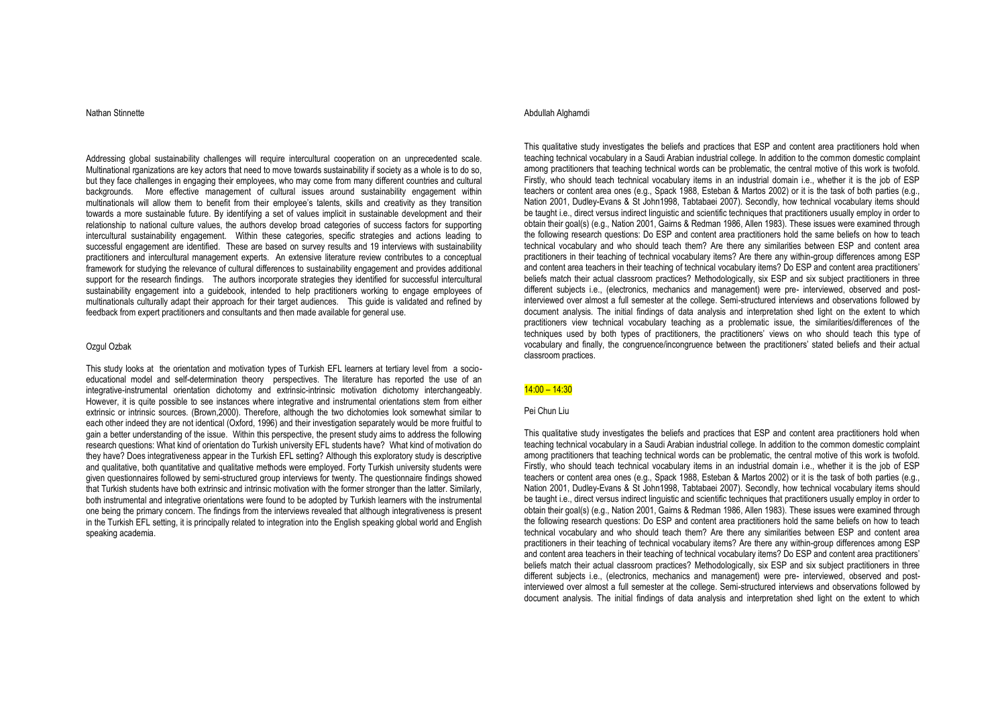## Nathan Stinnette

Addressing global sustainability challenges will require intercultural cooperation on an unprecedented scale. Multinational rganizations are key actors that need to move towards sustainability if society as a whole is to do so, but they face challenges in engaging their employees, who may come from many different countries and cultural backgrounds. More effective management of cultural issues around sustainability engagement within multinationals will allow them to benefit from their employee's talents, skills and creativity as they transition towards a more sustainable future. By identifying a set of values implicit in sustainable development and their relationship to national culture values, the authors develop broad categories of success factors for supporting intercultural sustainability engagement. Within these categories, specific strategies and actions leading to successful engagement are identified. These are based on survey results and 19 interviews with sustainability practitioners and intercultural management experts. An extensive literature review contributes to a conceptual framework for studying the relevance of cultural differences to sustainability engagement and provides additional support for the research findings. The authors incorporate strategies they identified for successful intercultural sustainability engagement into a guidebook, intended to help practitioners working to engage employees of multinationals culturally adapt their approach for their target audiences. This guide is validated and refined by feedback from expert practitioners and consultants and then made available for general use.

## Ozgul Ozbak

This study looks at the orientation and motivation types of Turkish EFL learners at tertiary level from a socioeducational model and self-determination theory perspectives. The literature has reported the use of an integrative-instrumental orientation dichotomy and extrinsic-intrinsic motivation dichotomy interchangeably. However, it is quite possible to see instances where integrative and instrumental orientations stem from either extrinsic or intrinsic sources. (Brown,2000). Therefore, although the two dichotomies look somewhat similar to each other indeed they are not identical (Oxford, 1996) and their investigation separately would be more fruitful to gain a better understanding of the issue. Within this perspective, the present study aims to address the following research questions: What kind of orientation do Turkish university EFL students have? What kind of motivation do they have? Does integrativeness appear in the Turkish EFL setting? Although this exploratory study is descriptive and qualitative, both quantitative and qualitative methods were employed. Forty Turkish university students were given questionnaires followed by semi-structured group interviews for twenty. The questionnaire findings showed that Turkish students have both extrinsic and intrinsic motivation with the former stronger than the latter. Similarly, both instrumental and integrative orientations were found to be adopted by Turkish learners with the instrumental one being the primary concern. The findings from the interviews revealed that although integrativeness is present in the Turkish EFL setting, it is principally related to integration into the English speaking global world and English speaking academia.

# Abdullah Alghamdi

This qualitative study investigates the beliefs and practices that ESP and content area practitioners hold when teaching technical vocabulary in a Saudi Arabian industrial college. In addition to the common domestic complaint among practitioners that teaching technical words can be problematic, the central motive of this work is twofold. Firstly, who should teach technical vocabulary items in an industrial domain i.e., whether it is the job of ESP teachers or content area ones (e.g., Spack 1988, Esteban & Martos 2002) or it is the task of both parties (e.g., Nation 2001, Dudley-Evans & St John1998, Tabtabaei 2007). Secondly, how technical vocabulary items should be taught i.e., direct versus indirect linguistic and scientific techniques that practitioners usually employ in order to obtain their goal(s) (e.g., Nation 2001, Gairns & Redman 1986, Allen 1983). These issues were examined through the following research questions: Do ESP and content area practitioners hold the same beliefs on how to teach technical vocabulary and who should teach them? Are there any similarities between ESP and content area practitioners in their teaching of technical vocabulary items? Are there any within-group differences among ESP and content area teachers in their teaching of technical vocabulary items? Do ESP and content area practitioners' beliefs match their actual classroom practices? Methodologically, six ESP and six subject practitioners in three different subjects i.e., (electronics, mechanics and management) were pre- interviewed, observed and postinterviewed over almost a full semester at the college. Semi-structured interviews and observations followed by document analysis. The initial findings of data analysis and interpretation shed light on the extent to which practitioners view technical vocabulary teaching as a problematic issue, the similarities/differences of the techniques used by both types of practitioners, the practitioners' views on who should teach this type of vocabulary and finally, the congruence/incongruence between the practitioners' stated beliefs and their actual classroom practices.

#### 14:00 – 14:30

## Pei Chun Liu

This qualitative study investigates the beliefs and practices that ESP and content area practitioners hold when teaching technical vocabulary in a Saudi Arabian industrial college. In addition to the common domestic complaint among practitioners that teaching technical words can be problematic, the central motive of this work is twofold. Firstly, who should teach technical vocabulary items in an industrial domain i.e., whether it is the job of ESP teachers or content area ones (e.g., Spack 1988, Esteban & Martos 2002) or it is the task of both parties (e.g., Nation 2001, Dudley-Evans & St John1998, Tabtabaei 2007). Secondly, how technical vocabulary items should be taught i.e., direct versus indirect linguistic and scientific techniques that practitioners usually employ in order to obtain their goal(s) (e.g., Nation 2001, Gairns & Redman 1986, Allen 1983). These issues were examined through the following research questions: Do ESP and content area practitioners hold the same beliefs on how to teach technical vocabulary and who should teach them? Are there any similarities between ESP and content area practitioners in their teaching of technical vocabulary items? Are there any within-group differences among ESP and content area teachers in their teaching of technical vocabulary items? Do ESP and content area practitioners' beliefs match their actual classroom practices? Methodologically, six ESP and six subject practitioners in three different subjects i.e., (electronics, mechanics and management) were pre- interviewed, observed and postinterviewed over almost a full semester at the college. Semi-structured interviews and observations followed by document analysis. The initial findings of data analysis and interpretation shed light on the extent to which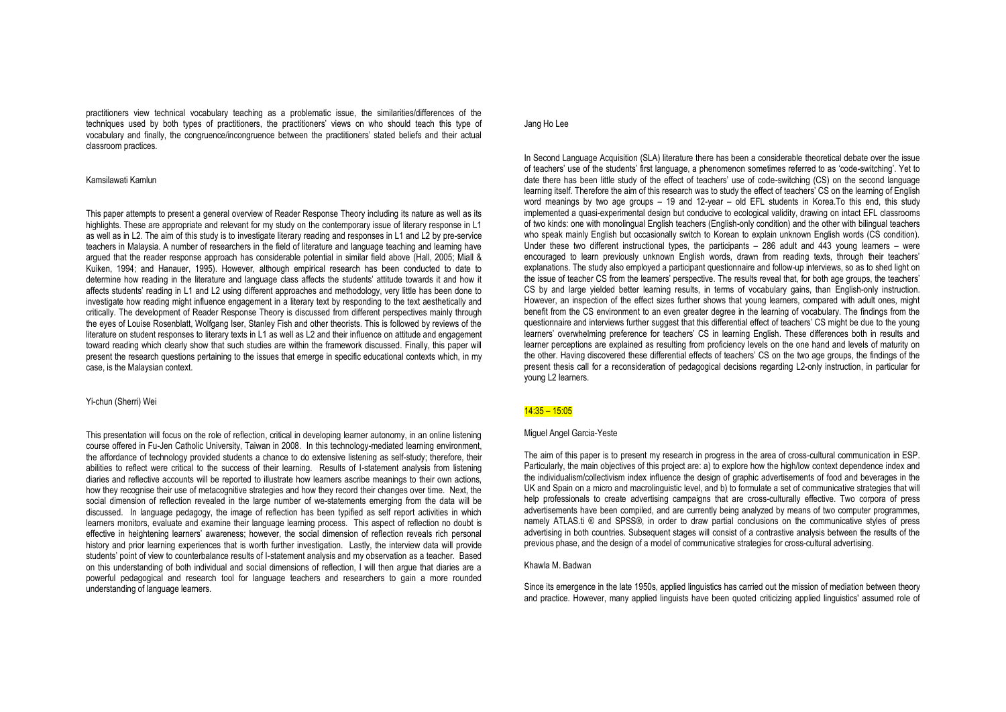practitioners view technical vocabulary teaching as a problematic issue, the similarities/differences of the techniques used by both types of practitioners, the practitioners' views on who should teach this type of vocabulary and finally, the congruence/incongruence between the practitioners' stated beliefs and their actual classroom practices.

#### Kamsilawati Kamlun

This paper attempts to present a general overview of Reader Response Theory including its nature as well as its highlights. These are appropriate and relevant for my study on the contemporary issue of literary response in L1 as well as in L2. The aim of this study is to investigate literary reading and responses in L1 and L2 by pre-service teachers in Malaysia. A number of researchers in the field of literature and language teaching and learning have argued that the reader response approach has considerable potential in similar field above (Hall, 2005; Miall & Kuiken, 1994; and Hanauer, 1995). However, although empirical research has been conducted to date to determine how reading in the literature and language class affects the students' attitude towards it and how it affects students' reading in L1 and L2 using different approaches and methodology, very little has been done to investigate how reading might influence engagement in a literary text by responding to the text aesthetically and critically. The development of Reader Response Theory is discussed from different perspectives mainly through the eyes of Louise Rosenblatt, Wolfgang Iser, Stanley Fish and other theorists. This is followed by reviews of the literature on student responses to literary texts in L1 as well as L2 and their influence on attitude and engagement toward reading which clearly show that such studies are within the framework discussed. Finally, this paper will present the research questions pertaining to the issues that emerge in specific educational contexts which, in my case, is the Malaysian context.

## Yi-chun (Sherri) Wei

This presentation will focus on the role of reflection, critical in developing learner autonomy, in an online listening course offered in Fu-Jen Catholic University, Taiwan in 2008. In this technology-mediated learning environment, the affordance of technology provided students a chance to do extensive listening as self-study; therefore, their abilities to reflect were critical to the success of their learning. Results of I-statement analysis from listening diaries and reflective accounts will be reported to illustrate how learners ascribe meanings to their own actions, how they recognise their use of metacognitive strategies and how they record their changes over time. Next, the social dimension of reflection revealed in the large number of we-statements emerging from the data will be discussed. In language pedagogy, the image of reflection has been typified as self report activities in which learners monitors, evaluate and examine their language learning process. This aspect of reflection no doubt is effective in heightening learners' awareness; however, the social dimension of reflection reveals rich personal history and prior learning experiences that is worth further investigation. Lastly, the interview data will provide students' point of view to counterbalance results of I-statement analysis and my observation as a teacher. Based on this understanding of both individual and social dimensions of reflection, I will then argue that diaries are a powerful pedagogical and research tool for language teachers and researchers to gain a more rounded understanding of language learners.

## Jang Ho Lee

In Second Language Acquisition (SLA) literature there has been a considerable theoretical debate over the issue of teachers' use of the students' first language, a phenomenon sometimes referred to as 'code-switching'. Yet to date there has been little study of the effect of teachers' use of code-switching (CS) on the second language learning itself. Therefore the aim of this research was to study the effect of teachers' CS on the learning of English word meanings by two age groups – 19 and 12-year – old EFL students in Korea.To this end, this study implemented a quasi-experimental design but conducive to ecological validity, drawing on intact EFL classrooms of two kinds: one with monolingual English teachers (English-only condition) and the other with bilingual teachers who speak mainly English but occasionally switch to Korean to explain unknown English words (CS condition). Under these two different instructional types, the participants – 286 adult and 443 young learners – were encouraged to learn previously unknown English words, drawn from reading texts, through their teachers' explanations. The study also employed a participant questionnaire and follow-up interviews, so as to shed light on the issue of teacher CS from the learners' perspective. The results reveal that, for both age groups, the teachers' CS by and large yielded better learning results, in terms of vocabulary gains, than English-only instruction. However, an inspection of the effect sizes further shows that young learners, compared with adult ones, might benefit from the CS environment to an even greater degree in the learning of vocabulary. The findings from the questionnaire and interviews further suggest that this differential effect of teachers' CS might be due to the young learners' overwhelming preference for teachers' CS in learning English. These differences both in results and learner perceptions are explained as resulting from proficiency levels on the one hand and levels of maturity on the other. Having discovered these differential effects of teachers' CS on the two age groups, the findings of the present thesis call for a reconsideration of pedagogical decisions regarding L2-only instruction, in particular for young L2 learners.

# 14:35 – 15:05

## Miguel Angel Garcia-Yeste

The aim of this paper is to present my research in progress in the area of cross-cultural communication in ESP. Particularly, the main objectives of this project are: a) to explore how the high/low context dependence index and the individualism/collectivism index influence the design of graphic advertisements of food and beverages in the UK and Spain on a micro and macrolinguistic level, and b) to formulate a set of communicative strategies that will help professionals to create advertising campaigns that are cross-culturally effective. Two corpora of press advertisements have been compiled, and are currently being analyzed by means of two computer programmes, namely ATLAS.ti <sup>®</sup> and SPSS<sup>®</sup>. in order to draw partial conclusions on the communicative styles of press advertising in both countries. Subsequent stages will consist of a contrastive analysis between the results of the previous phase, and the design of a model of communicative strategies for cross-cultural advertising.

## Khawla M. Badwan

Since its emergence in the late 1950s, applied linguistics has carried out the mission of mediation between theory and practice. However, many applied linguists have been quoted criticizing applied linguistics' assumed role of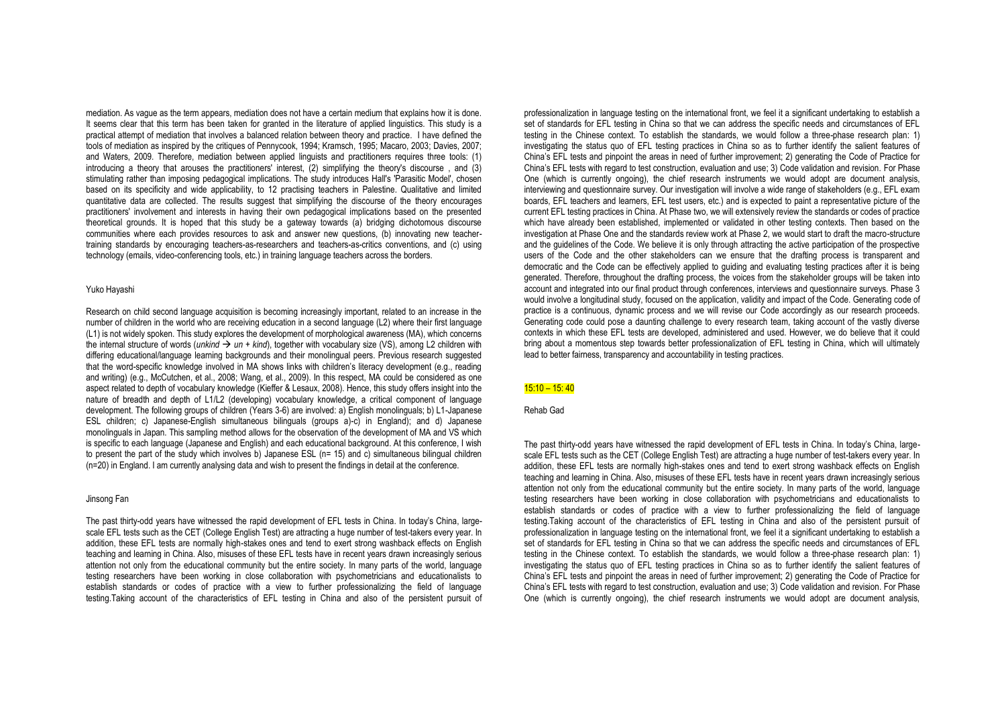mediation. As vague as the term appears, mediation does not have a certain medium that explains how it is done. It seems clear that this term has been taken for granted in the literature of applied linguistics. This study is a practical attempt of mediation that involves a balanced relation between theory and practice. I have defined the tools of mediation as inspired by the critiques of Pennycook, 1994; Kramsch, 1995; Macaro, 2003; Davies, 2007; and Waters, 2009. Therefore, mediation between applied linguists and practitioners requires three tools: (1) introducing a theory that arouses the practitioners' interest, (2) simplifying the theory's discourse , and (3) stimulating rather than imposing pedagogical implications. The study introduces Hall's 'Parasitic Model', chosen based on its specificity and wide applicability, to 12 practising teachers in Palestine. Qualitative and limited quantitative data are collected. The results suggest that simplifying the discourse of the theory encourages practitioners' involvement and interests in having their own pedagogical implications based on the presented theoretical grounds. It is hoped that this study be a gateway towards (a) bridging dichotomous discourse communities where each provides resources to ask and answer new questions, (b) innovating new teachertraining standards by encouraging teachers-as-researchers and teachers-as-critics conventions, and (c) using technology (emails, video-conferencing tools, etc.) in training language teachers across the borders.

#### Yuko Hayashi

Research on child second language acquisition is becoming increasingly important, related to an increase in the number of children in the world who are receiving education in a second language (L2) where their first language (L1) is not widely spoken. This study explores the development of morphological awareness (MA), which concerns the internal structure of words (*unkind*  $\rightarrow$  *un* + *kind*), together with vocabulary size (VS), among L2 children with differing educational/language learning backgrounds and their monolingual peers. Previous research suggested that the word-specific knowledge involved in MA shows links with children's literacy development (e.g., reading and writing) (e.g., McCutchen, et al., 2008; Wang, et al., 2009). In this respect, MA could be considered as one aspect related to depth of vocabulary knowledge (Kieffer & Lesaux, 2008). Hence, this study offers insight into the nature of breadth and depth of L1/L2 (developing) vocabulary knowledge, a critical component of language development. The following groups of children (Years 3-6) are involved: a) English monolinguals; b) L1-Japanese ESL children; c) Japanese-English simultaneous bilinguals (groups a)-c) in England); and d) Japanese monolinguals in Japan. This sampling method allows for the observation of the development of MA and VS which is specific to each language (Japanese and English) and each educational background. At this conference, I wish to present the part of the study which involves b) Japanese ESL (n= 15) and c) simultaneous bilingual children (n=20) in England. I am currently analysing data and wish to present the findings in detail at the conference.

## Jinsong Fan

The past thirty-odd years have witnessed the rapid development of EFL tests in China. In today's China, largescale EFL tests such as the CET (College English Test) are attracting a huge number of test-takers every year. In addition, these EFL tests are normally high-stakes ones and tend to exert strong washback effects on English teaching and learning in China. Also, misuses of these EFL tests have in recent years drawn increasingly serious attention not only from the educational community but the entire society. In many parts of the world, language testing researchers have been working in close collaboration with psychometricians and educationalists to establish standards or codes of practice with a view to further professionalizing the field of language testing.Taking account of the characteristics of EFL testing in China and also of the persistent pursuit of

professionalization in language testing on the international front, we feel it a significant undertaking to establish a set of standards for EFL testing in China so that we can address the specific needs and circumstances of EFL testing in the Chinese context. To establish the standards, we would follow a three-phase research plan: 1) investigating the status quo of EFL testing practices in China so as to further identify the salient features of China's EFL tests and pinpoint the areas in need of further improvement; 2) generating the Code of Practice for China's EFL tests with regard to test construction, evaluation and use; 3) Code validation and revision. For Phase One (which is currently ongoing), the chief research instruments we would adopt are document analysis, interviewing and questionnaire survey. Our investigation will involve a wide range of stakeholders (e.g., FFL exam boards, EFL teachers and learners, EFL test users, etc.) and is expected to paint a representative picture of the current EFL testing practices in China. At Phase two, we will extensively review the standards or codes of practice which have already been established, implemented or validated in other testing contexts. Then based on the investigation at Phase One and the standards review work at Phase 2, we would start to draft the macro-structure and the guidelines of the Code. We believe it is only through attracting the active participation of the prospective users of the Code and the other stakeholders can we ensure that the drafting process is transparent and democratic and the Code can be effectively applied to guiding and evaluating testing practices after it is being generated. Therefore, throughout the drafting process, the voices from the stakeholder groups will be taken into account and integrated into our final product through conferences, interviews and questionnaire surveys. Phase 3 would involve a longitudinal study, focused on the application, validity and impact of the Code. Generating code of practice is a continuous, dynamic process and we will revise our Code accordingly as our research proceeds. Generating code could pose a daunting challenge to every research team, taking account of the vastly diverse contexts in which these EFL tests are developed, administered and used. However, we do believe that it could bring about a momentous step towards better professionalization of EFL testing in China, which will ultimately lead to better fairness, transparency and accountability in testing practices.

#### 15:10 – 15: 40

Rehab Gad

The past thirty-odd years have witnessed the rapid development of EFL tests in China. In today's China, largescale EFL tests such as the CET (College English Test) are attracting a huge number of test-takers every year. In addition, these EFL tests are normally high-stakes ones and tend to exert strong washback effects on English teaching and learning in China. Also, misuses of these EFL tests have in recent years drawn increasingly serious attention not only from the educational community but the entire society. In many parts of the world, language testing researchers have been working in close collaboration with psychometricians and educationalists to establish standards or codes of practice with a view to further professionalizing the field of language testing.Taking account of the characteristics of EFL testing in China and also of the persistent pursuit of professionalization in language testing on the international front, we feel it a significant undertaking to establish a set of standards for EFL testing in China so that we can address the specific needs and circumstances of EFL testing in the Chinese context. To establish the standards, we would follow a three-phase research plan: 1) investigating the status quo of EFL testing practices in China so as to further identify the salient features of China's EFL tests and pinpoint the areas in need of further improvement; 2) generating the Code of Practice for China's EFL tests with regard to test construction, evaluation and use; 3) Code validation and revision. For Phase One (which is currently ongoing), the chief research instruments we would adopt are document analysis,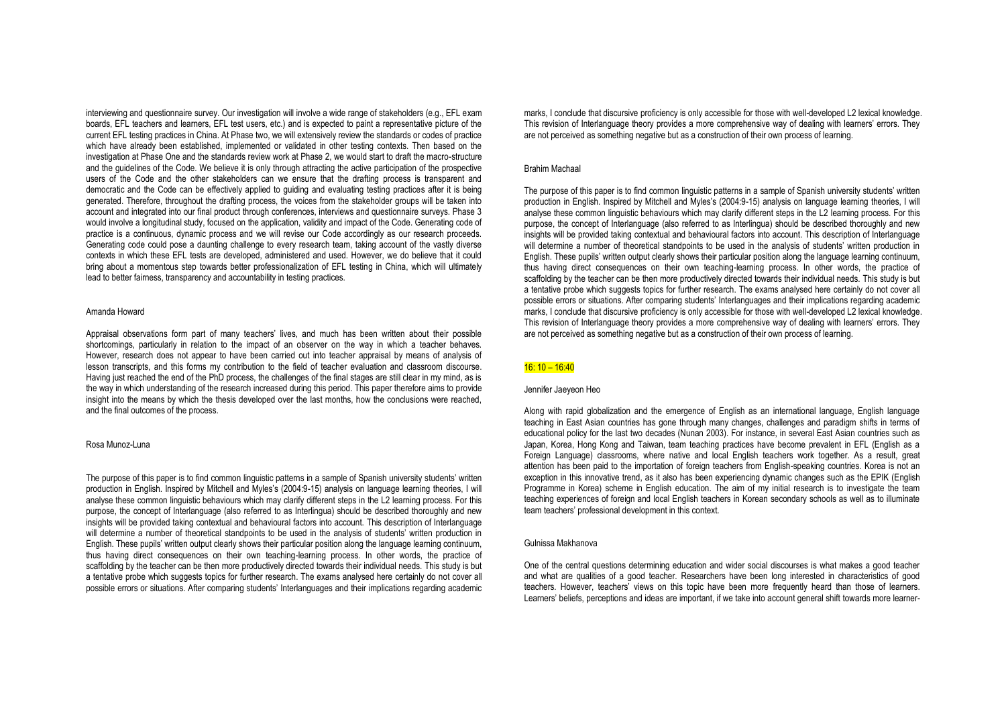interviewing and questionnaire survey. Our investigation will involve a wide range of stakeholders (e.g., EFL exam boards, EFL teachers and learners, EFL test users, etc.) and is expected to paint a representative picture of the current EFL testing practices in China. At Phase two, we will extensively review the standards or codes of practice which have already been established, implemented or validated in other testing contexts. Then based on the investigation at Phase One and the standards review work at Phase 2, we would start to draft the macro-structure and the guidelines of the Code. We believe it is only through attracting the active participation of the prospective users of the Code and the other stakeholders can we ensure that the drafting process is transparent and democratic and the Code can be effectively applied to guiding and evaluating testing practices after it is being generated. Therefore, throughout the drafting process, the voices from the stakeholder groups will be taken into account and integrated into our final product through conferences, interviews and questionnaire surveys. Phase 3 would involve a longitudinal study, focused on the application, validity and impact of the Code. Generating code of practice is a continuous, dynamic process and we will revise our Code accordingly as our research proceeds. Generating code could pose a daunting challenge to every research team, taking account of the vastly diverse contexts in which these EFL tests are developed, administered and used. However, we do believe that it could bring about a momentous step towards better professionalization of EFL testing in China, which will ultimately lead to better fairness, transparency and accountability in testing practices.

#### Amanda Howard

Appraisal observations form part of many teachers' lives, and much has been written about their possible shortcomings, particularly in relation to the impact of an observer on the way in which a teacher behaves. However, research does not appear to have been carried out into teacher appraisal by means of analysis of lesson transcripts, and this forms my contribution to the field of teacher evaluation and classroom discourse. Having just reached the end of the PhD process, the challenges of the final stages are still clear in my mind, as is the way in which understanding of the research increased during this period. This paper therefore aims to provide insight into the means by which the thesis developed over the last months, how the conclusions were reached and the final outcomes of the process.

## Rosa Munoz-Luna

The purpose of this paper is to find common linguistic patterns in a sample of Spanish university students' written production in English. Inspired by Mitchell and Myles's (2004:9-15) analysis on language learning theories, I will analyse these common linguistic behaviours which may clarify different steps in the L2 learning process. For this purpose, the concept of Interlanguage (also referred to as Interlingua) should be described thoroughly and new insights will be provided taking contextual and behavioural factors into account. This description of Interlanguage will determine a number of theoretical standpoints to be used in the analysis of students' written production in English. These pupils' written output clearly shows their particular position along the language learning continuum, thus having direct consequences on their own teaching-learning process. In other words, the practice of scaffolding by the teacher can be then more productively directed towards their individual needs. This study is but a tentative probe which suggests topics for further research. The exams analysed here certainly do not cover all possible errors or situations. After comparing students' Interlanguages and their implications regarding academic marks, I conclude that discursive proficiency is only accessible for those with well-developed L2 lexical knowledge. This revision of Interlanguage theory provides a more comprehensive way of dealing with learners' errors. They are not perceived as something negative but as a construction of their own process of learning.

#### Brahim Machaal

The purpose of this paper is to find common linguistic patterns in a sample of Spanish university students' written production in English. Inspired by Mitchell and Myles's (2004:9-15) analysis on language learning theories, I will analyse these common linguistic behaviours which may clarify different steps in the L2 learning process. For this purpose, the concept of Interlanguage (also referred to as Interlingua) should be described thoroughly and new insights will be provided taking contextual and behavioural factors into account. This description of Interlanguage will determine a number of theoretical standpoints to be used in the analysis of students' written production in English. These pupils' written output clearly shows their particular position along the language learning continuum, thus having direct consequences on their own teaching-learning process. In other words, the practice of scaffolding by the teacher can be then more productively directed towards their individual needs. This study is but a tentative probe which suggests topics for further research. The exams analysed here certainly do not cover all possible errors or situations. After comparing students' Interlanguages and their implications regarding academic marks, I conclude that discursive proficiency is only accessible for those with well-developed L2 lexical knowledge. This revision of Interlanguage theory provides a more comprehensive way of dealing with learners' errors. They are not perceived as something negative but as a construction of their own process of learning.

# 16: 10 – 16:40

# Jennifer Jaeyeon Heo

Along with rapid globalization and the emergence of English as an international language, English language teaching in East Asian countries has gone through many changes, challenges and paradigm shifts in terms of educational policy for the last two decades (Nunan 2003). For instance, in several East Asian countries such as Japan, Korea, Hong Kong and Taiwan, team teaching practices have become prevalent in EFL (English as a Foreign Language) classrooms, where native and local English teachers work together. As a result, great attention has been paid to the importation of foreign teachers from English-speaking countries. Korea is not an exception in this innovative trend, as it also has been experiencing dynamic changes such as the EPIK (English Programme in Korea) scheme in English education. The aim of my initial research is to investigate the team teaching experiences of foreign and local English teachers in Korean secondary schools as well as to illuminate team teachers' professional development in this context.

#### Gulnissa Makhanova

One of the central questions determining education and wider social discourses is what makes a good teacher and what are qualities of a good teacher. Researchers have been long interested in characteristics of good teachers. However, teachers' views on this topic have been more frequently heard than those of learners. Learners' beliefs, perceptions and ideas are important, if we take into account general shift towards more learner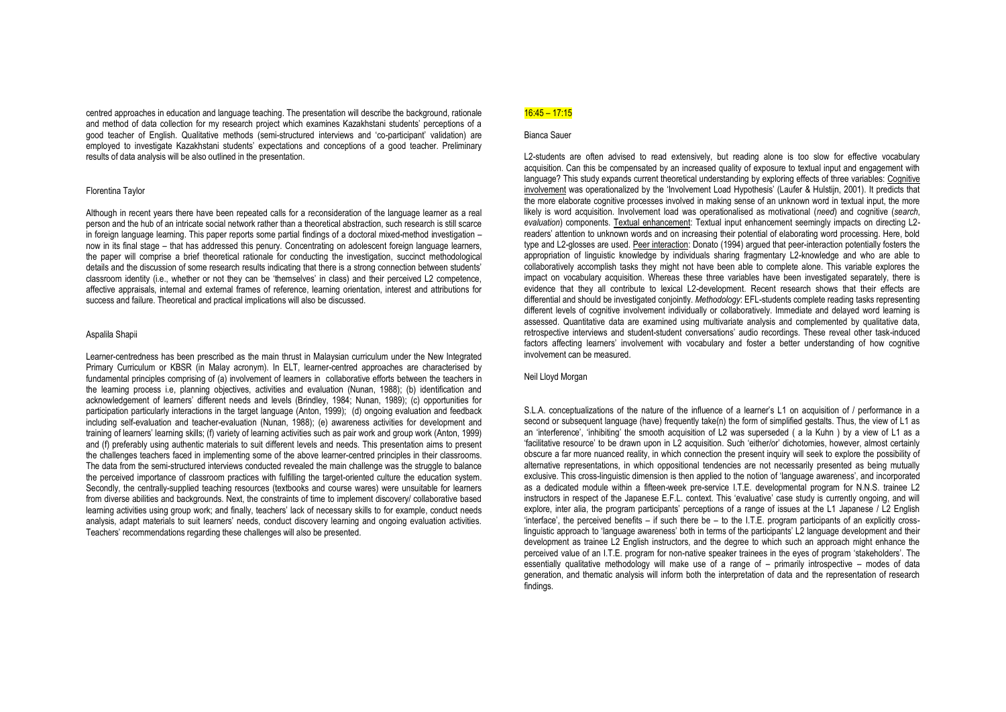centred approaches in education and language teaching. The presentation will describe the background, rationale and method of data collection for my research project which examines Kazakhstani students' perceptions of a good teacher of English. Qualitative methods (semi-structured interviews and 'co-participant' validation) are employed to investigate Kazakhstani students' expectations and conceptions of a good teacher. Preliminary results of data analysis will be also outlined in the presentation.

#### Florentina Taylor

Although in recent years there have been repeated calls for a reconsideration of the language learner as a real person and the hub of an intricate social network rather than a theoretical abstraction, such research is still scarce in foreign language learning. This paper reports some partial findings of a doctoral mixed-method investigation – now in its final stage – that has addressed this penury. Concentrating on adolescent foreign language learners, the paper will comprise a brief theoretical rationale for conducting the investigation, succinct methodological details and the discussion of some research results indicating that there is a strong connection between students' classroom identity (i.e., whether or not they can be 'themselves' in class) and their perceived L2 competence, affective appraisals, internal and external frames of reference, learning orientation, interest and attributions for success and failure. Theoretical and practical implications will also be discussed.

#### Aspalila Shapii

Learner-centredness has been prescribed as the main thrust in Malaysian curriculum under the New Integrated Primary Curriculum or KBSR (in Malay acronym). In ELT, learner-centred approaches are characterised by fundamental principles comprising of (a) involvement of learners in collaborative efforts between the teachers in the learning process i.e, planning objectives, activities and evaluation (Nunan, 1988); (b) identification and acknowledgement of learners' different needs and levels (Brindley, 1984; Nunan, 1989); (c) opportunities for participation particularly interactions in the target language (Anton, 1999); (d) ongoing evaluation and feedback including self-evaluation and teacher-evaluation (Nunan, 1988); (e) awareness activities for development and training of learners' learning skills; (f) variety of learning activities such as pair work and group work (Anton, 1999) and (f) preferably using authentic materials to suit different levels and needs. This presentation aims to present the challenges teachers faced in implementing some of the above learner-centred principles in their classrooms. The data from the semi-structured interviews conducted revealed the main challenge was the struggle to balance the perceived importance of classroom practices with fulfilling the target-oriented culture the education system. Secondly, the centrally-supplied teaching resources (textbooks and course wares) were unsuitable for learners from diverse abilities and backgrounds. Next, the constraints of time to implement discovery/ collaborative based learning activities using group work; and finally, teachers' lack of necessary skills to for example, conduct needs analysis, adapt materials to suit learners' needs, conduct discovery learning and ongoing evaluation activities. Teachers' recommendations regarding these challenges will also be presented.

# 16:45 – 17:15

#### Bianca Sauer

L2-students are often advised to read extensively, but reading alone is too slow for effective vocabulary acquisition. Can this be compensated by an increased quality of exposure to textual input and engagement with language? This study expands current theoretical understanding by exploring effects of three variables: Cognitive involvement was operationalized by the 'Involvement Load Hypothesis' (Laufer & Hulstijn, 2001). It predicts that the more elaborate cognitive processes involved in making sense of an unknown word in textual input, the more likely is word acquisition. Involvement load was operationalised as motivational (*need*) and cognitive (*search*, *evaluation*) components. Textual enhancement: Textual input enhancement seemingly impacts on directing L2readers' attention to unknown words and on increasing their potential of elaborating word processing. Here, bold type and L2-glosses are used. Peer interaction: Donato (1994) argued that peer-interaction potentially fosters the appropriation of linguistic knowledge by individuals sharing fragmentary L2-knowledge and who are able to collaboratively accomplish tasks they might not have been able to complete alone. This variable explores the impact on vocabulary acquisition. Whereas these three variables have been investigated separately, there is evidence that they all contribute to lexical L2-development. Recent research shows that their effects are differential and should be investigated conjointly. *Methodology*: EFL-students complete reading tasks representing different levels of cognitive involvement individually or collaboratively. Immediate and delayed word learning is assessed. Quantitative data are examined using multivariate analysis and complemented by qualitative data, retrospective interviews and student-student conversations' audio recordings. These reveal other task-induced factors affecting learners' involvement with vocabulary and foster a better understanding of how cognitive involvement can be measured.

## Neil Lloyd Morgan

S.L.A. conceptualizations of the nature of the influence of a learner's L1 on acquisition of / performance in a second or subsequent language (have) frequently take(n) the form of simplified gestalts. Thus, the view of L1 as an 'interference', 'inhibiting' the smooth acquisition of L2 was superseded ( a la Kuhn ) by a view of L1 as a 'facilitative resource' to be drawn upon in L2 acquisition. Such 'either/or' dichotomies, however, almost certainly obscure a far more nuanced reality, in which connection the present inquiry will seek to explore the possibility of alternative representations, in which oppositional tendencies are not necessarily presented as being mutually exclusive. This cross-linguistic dimension is then applied to the notion of 'language awareness', and incorporated as a dedicated module within a fifteen-week pre-service I.T.E. developmental program for N.N.S. trainee L2 instructors in respect of the Japanese E.F.L. context. This 'evaluative' case study is currently ongoing, and will explore, inter alia, the program participants' perceptions of a range of issues at the L1 Japanese / L2 English 'interface', the perceived benefits – if such there be – to the I.T.E. program participants of an explicitly crosslinguistic approach to 'language awareness' both in terms of the participants' L2 language development and their development as trainee L2 English instructors, and the degree to which such an approach might enhance the perceived value of an I.T.E. program for non-native speaker trainees in the eyes of program 'stakeholders'. The essentially qualitative methodology will make use of a range of – primarily introspective – modes of data generation, and thematic analysis will inform both the interpretation of data and the representation of research findings.